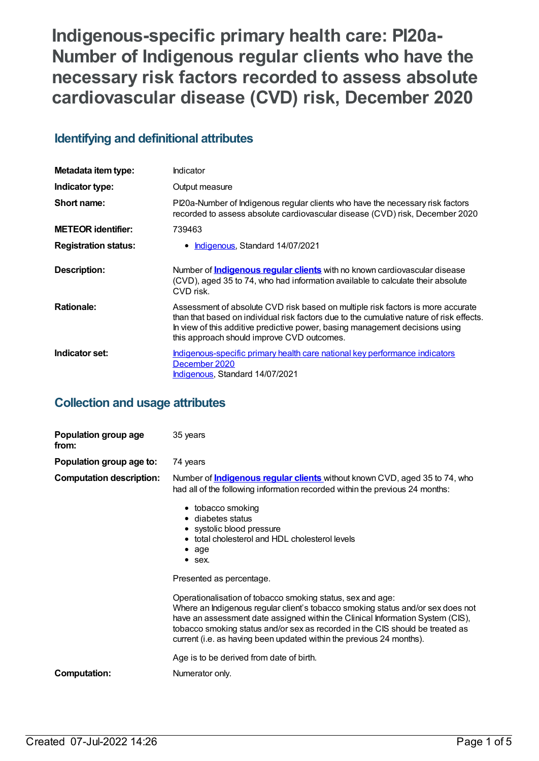**Indigenous-specific primary health care: PI20a-Number of Indigenous regular clients who have the necessary risk factors recorded to assess absolute cardiovascular disease (CVD) risk, December 2020**

# **Identifying and definitional attributes**

| Metadata item type:         | Indicator                                                                                                                                                                                                                                                                                                 |
|-----------------------------|-----------------------------------------------------------------------------------------------------------------------------------------------------------------------------------------------------------------------------------------------------------------------------------------------------------|
| Indicator type:             | Output measure                                                                                                                                                                                                                                                                                            |
| Short name:                 | Pl20a-Number of Indigenous regular clients who have the necessary risk factors<br>recorded to assess absolute cardiovascular disease (CVD) risk, December 2020                                                                                                                                            |
| <b>METEOR</b> identifier:   | 739463                                                                                                                                                                                                                                                                                                    |
| <b>Registration status:</b> | Indigenous, Standard 14/07/2021                                                                                                                                                                                                                                                                           |
| <b>Description:</b>         | Number of <i>Indigenous regular clients</i> with no known cardiovascular disease<br>(CVD), aged 35 to 74, who had information available to calculate their absolute<br>CVD risk.                                                                                                                          |
| <b>Rationale:</b>           | Assessment of absolute CVD risk based on multiple risk factors is more accurate<br>than that based on individual risk factors due to the cumulative nature of risk effects.<br>In view of this additive predictive power, basing management decisions using<br>this approach should improve CVD outcomes. |
| Indicator set:              | Indigenous-specific primary health care national key performance indicators<br>December 2020<br>Indigenous, Standard 14/07/2021                                                                                                                                                                           |

# **Collection and usage attributes**

| Population group age<br>from:   | 35 years                                                                                                                                                                                                                                                                                                                                                                                                                                                                                                                                                                                                                                                                              |
|---------------------------------|---------------------------------------------------------------------------------------------------------------------------------------------------------------------------------------------------------------------------------------------------------------------------------------------------------------------------------------------------------------------------------------------------------------------------------------------------------------------------------------------------------------------------------------------------------------------------------------------------------------------------------------------------------------------------------------|
| Population group age to:        | 74 years                                                                                                                                                                                                                                                                                                                                                                                                                                                                                                                                                                                                                                                                              |
| <b>Computation description:</b> | Number of <b>Indigenous regular clients</b> without known CVD, aged 35 to 74, who<br>had all of the following information recorded within the previous 24 months:<br>• tobacco smoking<br>$\bullet$ diabetes status<br>• systolic blood pressure<br>• total cholesterol and HDL cholesterol levels<br>$\bullet$ age<br>$\bullet$ sex.<br>Presented as percentage.<br>Operationalisation of tobacco smoking status, sex and age:<br>Where an Indigenous regular client's tobacco smoking status and/or sex does not<br>have an assessment date assigned within the Clinical Information System (CIS),<br>tobacco smoking status and/or sex as recorded in the CIS should be treated as |
|                                 | current (i.e. as having been updated within the previous 24 months).                                                                                                                                                                                                                                                                                                                                                                                                                                                                                                                                                                                                                  |
|                                 | Age is to be derived from date of birth.                                                                                                                                                                                                                                                                                                                                                                                                                                                                                                                                                                                                                                              |
| Computation:                    | Numerator only.                                                                                                                                                                                                                                                                                                                                                                                                                                                                                                                                                                                                                                                                       |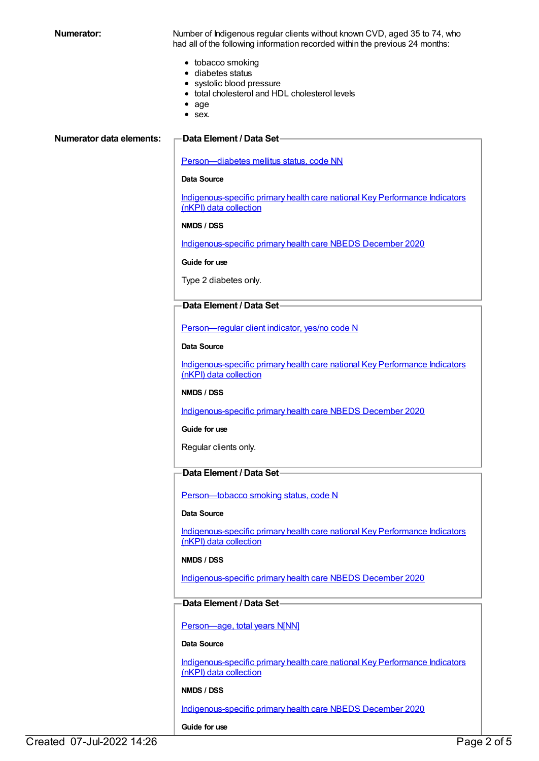**Numerator:** Number of Indigenous regular clients without known CVD, aged 35 to 74, who had all of the following information recorded within the previous 24 months:

- tobacco smoking
- diabetes status
- systolic blood pressure
- total cholesterol and HDL cholesterol levels
- $\bullet$  age
- sex.

## **Numerator data elements:**  $\qquad \qquad$  **Data Element** / Data Set-

[Person—diabetes](https://meteor.aihw.gov.au/content/270194) mellitus status, code NN

#### **Data Source**

[Indigenous-specific](https://meteor.aihw.gov.au/content/737914) primary health care national Key Performance Indicators (nKPI) data collection

#### **NMDS / DSS**

[Indigenous-specific](https://meteor.aihw.gov.au/content/738532) primary health care NBEDS December 2020

**Guide for use**

Type 2 diabetes only.

## **Data Element / Data Set**

[Person—regular](https://meteor.aihw.gov.au/content/686291) client indicator, yes/no code N

#### **Data Source**

[Indigenous-specific](https://meteor.aihw.gov.au/content/737914) primary health care national Key Performance Indicators (nKPI) data collection

#### **NMDS / DSS**

[Indigenous-specific](https://meteor.aihw.gov.au/content/738532) primary health care NBEDS December 2020

### **Guide for use**

Regular clients only.

# **Data Element / Data Set**

Person-tobacco smoking status, code N

#### **Data Source**

[Indigenous-specific](https://meteor.aihw.gov.au/content/737914) primary health care national Key Performance Indicators (nKPI) data collection

### **NMDS / DSS**

[Indigenous-specific](https://meteor.aihw.gov.au/content/738532) primary health care NBEDS December 2020

### **Data Element / Data Set**

Person-age, total years N[NN]

#### **Data Source**

[Indigenous-specific](https://meteor.aihw.gov.au/content/737914) primary health care national Key Performance Indicators (nKPI) data collection

### **NMDS / DSS**

[Indigenous-specific](https://meteor.aihw.gov.au/content/738532) primary health care NBEDS December 2020

**Guide for use**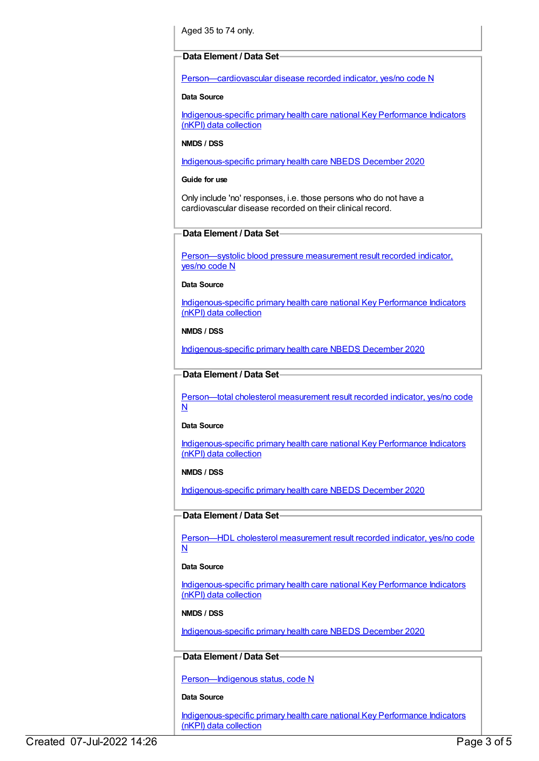Aged 35 to 74 only.

### **Data Element / Data Set**

[Person—cardiovascular](https://meteor.aihw.gov.au/content/465948) disease recorded indicator, yes/no code N

### **Data Source**

[Indigenous-specific](https://meteor.aihw.gov.au/content/737914) primary health care national Key Performance Indicators (nKPI) data collection

### **NMDS / DSS**

[Indigenous-specific](https://meteor.aihw.gov.au/content/738532) primary health care NBEDS December 2020

### **Guide for use**

Only include 'no' responses, i.e. those persons who do not have a cardiovascular disease recorded on their clinical record.

# **Data Element / Data Set**

[Person—systolic](https://meteor.aihw.gov.au/content/588766) blood pressure measurement result recorded indicator, yes/no code N

**Data Source**

[Indigenous-specific](https://meteor.aihw.gov.au/content/737914) primary health care national Key Performance Indicators (nKPI) data collection

**NMDS / DSS**

[Indigenous-specific](https://meteor.aihw.gov.au/content/738532) primary health care NBEDS December 2020

# **Data Element / Data Set**

[Person—total](https://meteor.aihw.gov.au/content/588774) cholesterol measurement result recorded indicator, yes/no code N

## **Data Source**

[Indigenous-specific](https://meteor.aihw.gov.au/content/737914) primary health care national Key Performance Indicators (nKPI) data collection

## **NMDS / DSS**

[Indigenous-specific](https://meteor.aihw.gov.au/content/738532) primary health care NBEDS December 2020

## **Data Element / Data Set**

[Person—HDL](https://meteor.aihw.gov.au/content/594647) cholesterol measurement result recorded indicator, yes/no code N

## **Data Source**

[Indigenous-specific](https://meteor.aihw.gov.au/content/737914) primary health care national Key Performance Indicators (nKPI) data collection

## **NMDS / DSS**

[Indigenous-specific](https://meteor.aihw.gov.au/content/738532) primary health care NBEDS December 2020

# **Data Element / Data Set**

[Person—Indigenous](https://meteor.aihw.gov.au/content/602543) status, code N

## **Data Source**

[Indigenous-specific](https://meteor.aihw.gov.au/content/737914) primary health care national Key Performance Indicators (nKPI) data collection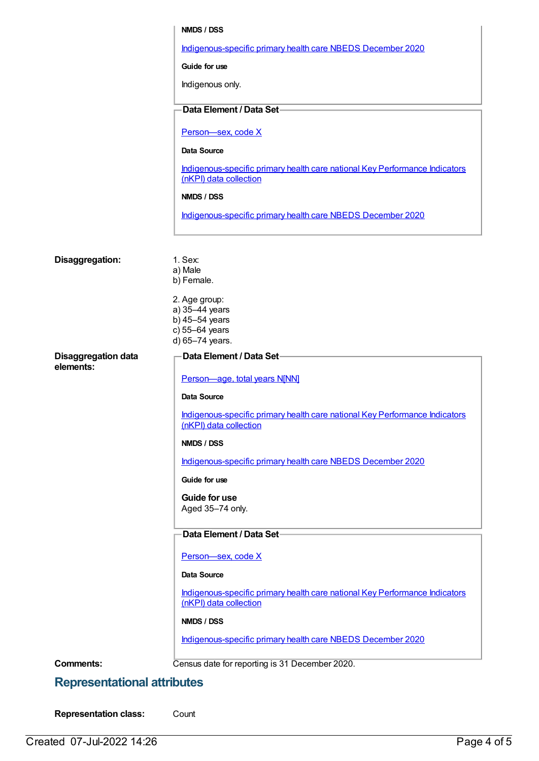### **NMDS / DSS**

### [Indigenous-specific](https://meteor.aihw.gov.au/content/738532) primary health care NBEDS December 2020

**Guide for use**

Indigenous only.

# **Data Element / Data Set**

Person-sex, code X

### **Data Source**

[Indigenous-specific](https://meteor.aihw.gov.au/content/737914) primary health care national Key Performance Indicators (nKPI) data collection

## **NMDS / DSS**

[Indigenous-specific](https://meteor.aihw.gov.au/content/738532) primary health care NBEDS December 2020

| Disaggregation:            | 1. Sex:                                                                                               |
|----------------------------|-------------------------------------------------------------------------------------------------------|
|                            | a) Male<br>b) Female.                                                                                 |
|                            |                                                                                                       |
|                            | 2. Age group:                                                                                         |
|                            | a) 35-44 years                                                                                        |
|                            | b) 45-54 years<br>c) 55-64 years                                                                      |
|                            | d) 65-74 years.                                                                                       |
| <b>Disaggregation data</b> | Data Element / Data Set-                                                                              |
| elements:                  | Person-age, total years N[NN]                                                                         |
|                            | Data Source                                                                                           |
|                            | Indigenous-specific primary health care national Key Performance Indicators<br>(nKPI) data collection |
|                            | NMDS / DSS                                                                                            |
|                            | Indigenous-specific primary health care NBEDS December 2020                                           |
|                            | Guide for use                                                                                         |
|                            | <b>Guide for use</b>                                                                                  |
|                            | Aged 35-74 only.                                                                                      |
|                            | Data Element / Data Set-                                                                              |
|                            | Person-sex, code X                                                                                    |
|                            | <b>Data Source</b>                                                                                    |
|                            | Indigenous-specific primary health care national Key Performance Indicators<br>(nKPI) data collection |
|                            | NMDS / DSS                                                                                            |
|                            | Indigenous-specific primary health care NBEDS December 2020                                           |
| Comments:                  | Census date for reporting is 31 December 2020.                                                        |

# **Representational attributes**

**Representation class:** Count